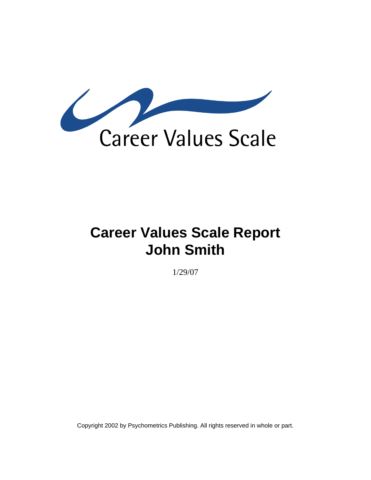

# **Career Values Scale Report John Smith**

1/29/07

Copyright 2002 by Psychometrics Publishing. All rights reserved in whole or part.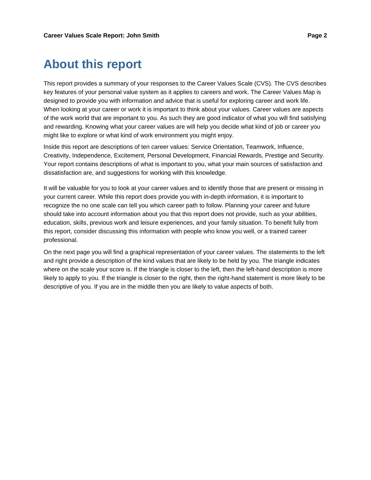### **About this report**

This report provides a summary of your responses to the Career Values Scale (CVS). The CVS describes key features of your personal value system as it applies to careers and work. The Career Values Map is designed to provide you with information and advice that is useful for exploring career and work life. When looking at your career or work it is important to think about your values. Career values are aspects of the work world that are important to you. As such they are good indicator of what you will find satisfying and rewarding. Knowing what your career values are will help you decide what kind of job or career you might like to explore or what kind of work environment you might enjoy.

Inside this report are descriptions of ten career values: Service Orientation, Teamwork, Influence, Creativity, Independence, Excitement, Personal Development, Financial Rewards, Prestige and Security. Your report contains descriptions of what is important to you, what your main sources of satisfaction and dissatisfaction are, and suggestions for working with this knowledge.

It will be valuable for you to look at your career values and to identify those that are present or missing in your current career. While this report does provide you with in-depth information, it is important to recognize the no one scale can tell you which career path to follow. Planning your career and future should take into account information about you that this report does not provide, such as your abilities, education, skills, previous work and leisure experiences, and your family situation. To benefit fully from this report, consider discussing this information with people who know you well, or a trained career professional.

On the next page you will find a graphical representation of your career values. The statements to the left and right provide a description of the kind values that are likely to be held by you. The triangle indicates where on the scale your score is. If the triangle is closer to the left, then the left-hand description is more likely to apply to you. If the triangle is closer to the right, then the right-hand statement is more likely to be descriptive of you. If you are in the middle then you are likely to value aspects of both.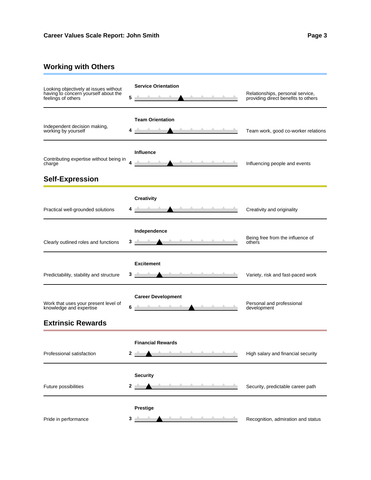### **Working with Others**

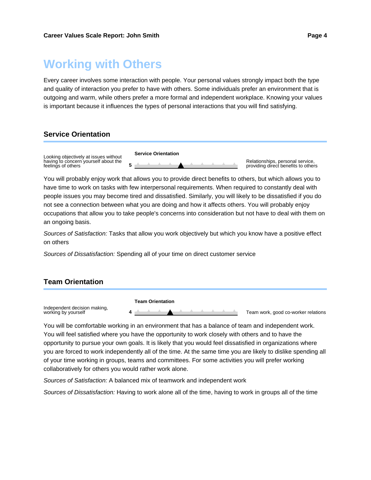### **Working with Others**

Every career involves some interaction with people. Your personal values strongly impact both the type and quality of interaction you prefer to have with others. Some individuals prefer an environment that is outgoing and warm, while others prefer a more formal and independent workplace. Knowing your values is important because it influences the types of personal interactions that you will find satisfying.

### **Service Orientation**



You will probably enjoy work that allows you to provide direct benefits to others, but which allows you to have time to work on tasks with few interpersonal requirements. When required to constantly deal with people issues you may become tired and dissatisfied. Similarly, you will likely to be dissatisfied if you do not see a connection between what you are doing and how it affects others. You will probably enjoy occupations that allow you to take people's concerns into consideration but not have to deal with them on an ongoing basis.

Sources of Satisfaction: Tasks that allow you work objectively but which you know have a positive effect on others

Sources of Dissatisfaction: Spending all of your time on direct customer service

### **Team Orientation**



You will be comfortable working in an environment that has a balance of team and independent work. You will feel satisfied where you have the opportunity to work closely with others and to have the opportunity to pursue your own goals. It is likely that you would feel dissatisfied in organizations where you are forced to work independently all of the time. At the same time you are likely to dislike spending all of your time working in groups, teams and committees. For some activities you will prefer working collaboratively for others you would rather work alone.

Sources of Satisfaction: A balanced mix of teamwork and independent work

Sources of Dissatisfaction: Having to work alone all of the time, having to work in groups all of the time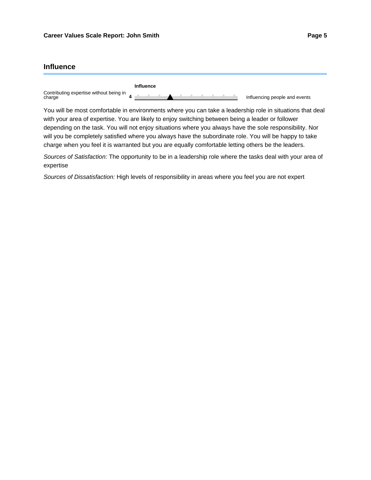### **Influence**

|                                                   | Influence |                               |
|---------------------------------------------------|-----------|-------------------------------|
| Contributing expertise without being in<br>charge |           | Influencing people and events |

You will be most comfortable in environments where you can take a leadership role in situations that deal with your area of expertise. You are likely to enjoy switching between being a leader or follower depending on the task. You will not enjoy situations where you always have the sole responsibility. Nor will you be completely satisfied where you always have the subordinate role. You will be happy to take charge when you feel it is warranted but you are equally comfortable letting others be the leaders.

Sources of Satisfaction: The opportunity to be in a leadership role where the tasks deal with your area of expertise

Sources of Dissatisfaction: High levels of responsibility in areas where you feel you are not expert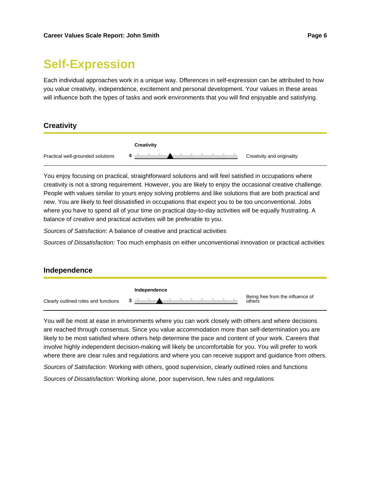# **Self-Expression**

Each individual approaches work in a unique way. Dfferences in self-expression can be attributed to how you value creativity, independence, excitement and personal development. Your values in these areas will influence both the types of tasks and work environments that you will find enjoyable and satisfying.

### **Creativity**



You enjoy focusing on practical, straightforward solutions and will feel satisfied in occupations where creativity is not a strong requirement. However, you are likely to enjoy the occasional creative challenge. People with values similar to yours enjoy solving problems and like solutions that are both practical and new. You are likely to feel dissatisfied in occupations that expect you to be too unconventional. Jobs where you have to spend all of your time on practical day-to-day activities will be equally frustrating. A balance of creative and practical activities will be preferable to you.

Sources of Satisfaction: A balance of creative and practical activities

Sources of Dissatisfaction: Too much emphasis on either unconventional innovation or practical activities

### **Independence**



You will be most at ease in environments where you can work closely with others and where decisions are reached through consensus. Since you value accommodation more than self-determination you are likely to be most satisfied where others help determine the pace and content of your work. Careers that involve highly independent decision-making will likely be uncomfortable for you. You will prefer to work where there are clear rules and regulations and where you can receive support and guidance from others.

Sources of Satisfaction: Working with others, good supervision, clearly outlined roles and functions

Sources of Dissatisfaction: Working alone, poor supervision, few rules and regulations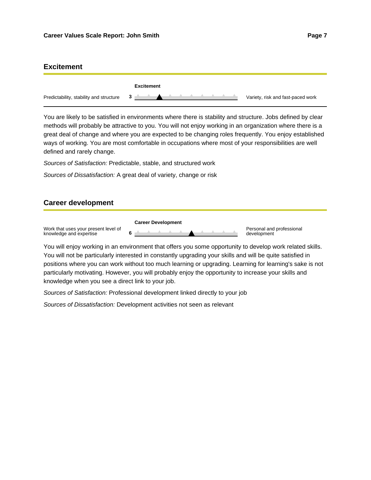### **Excitement**

|                                         | Excitement     |                                   |
|-----------------------------------------|----------------|-----------------------------------|
| Predictability, stability and structure | 3 <sup>o</sup> | Variety, risk and fast-paced work |

You are likely to be satisfied in environments where there is stability and structure. Jobs defined by clear methods will probably be attractive to you. You will not enjoy working in an organization where there is a great deal of change and where you are expected to be changing roles frequently. You enjoy established ways of working. You are most comfortable in occupations where most of your responsibilities are well defined and rarely change.

Sources of Satisfaction: Predictable, stable, and structured work

Sources of Dissatisfaction: A great deal of variety, change or risk

#### **Career development**

Work that uses your present level of knowledge and expertise **Career Development** Personal and professional **6** development

You will enjoy working in an environment that offers you some opportunity to develop work related skills. You will not be particularly interested in constantly upgrading your skills and will be quite satisfied in positions where you can work without too much learning or upgrading. Learning for learning's sake is not particularly motivating. However, you will probably enjoy the opportunity to increase your skills and knowledge when you see a direct link to your job.

Sources of Satisfaction: Professional development linked directly to your job

Sources of Dissatisfaction: Development activities not seen as relevant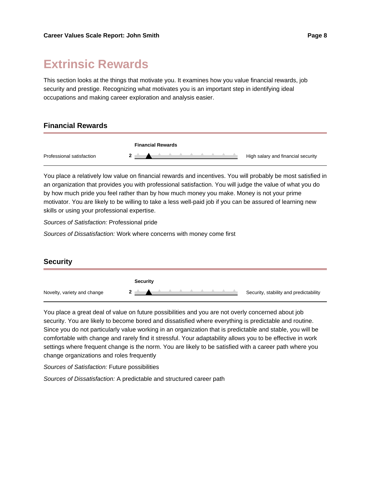## **Extrinsic Rewards**

This section looks at the things that motivate you. It examines how you value financial rewards, job security and prestige. Recognizing what motivates you is an important step in identifying ideal occupations and making career exploration and analysis easier.

### **Financial Rewards**



You place a relatively low value on financial rewards and incentives. You will probably be most satisfied in an organization that provides you with professional satisfaction. You will judge the value of what you do by how much pride you feel rather than by how much money you make. Money is not your prime motivator. You are likely to be willing to take a less well-paid job if you can be assured of learning new skills or using your professional expertise.

Sources of Satisfaction: Professional pride

Sources of Dissatisfaction: Work where concerns with money come first



You place a great deal of value on future possibilities and you are not overly concerned about job security. You are likely to become bored and dissatisfied where everything is predictable and routine. Since you do not particularly value working in an organization that is predictable and stable, you will be comfortable with change and rarely find it stressful. Your adaptability allows you to be effective in work settings where frequent change is the norm. You are likely to be satisfied with a career path where you change organizations and roles frequently

Sources of Satisfaction: Future possibilities

Sources of Dissatisfaction: A predictable and structured career path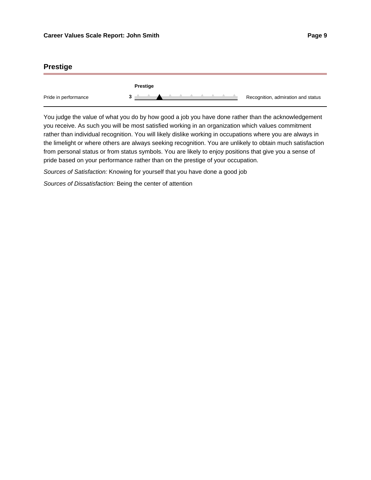### **Prestige**

|                      | Prestige |                                    |
|----------------------|----------|------------------------------------|
| Pride in performance |          | Recognition, admiration and status |

You judge the value of what you do by how good a job you have done rather than the acknowledgement you receive. As such you will be most satisfied working in an organization which values commitment rather than individual recognition. You will likely dislike working in occupations where you are always in the limelight or where others are always seeking recognition. You are unlikely to obtain much satisfaction from personal status or from status symbols. You are likely to enjoy positions that give you a sense of pride based on your performance rather than on the prestige of your occupation.

Sources of Satisfaction: Knowing for yourself that you have done a good job

Sources of Dissatisfaction: Being the center of attention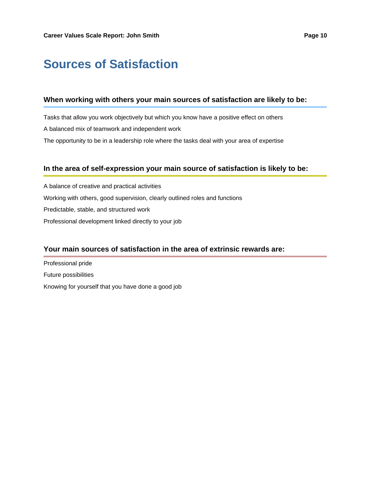# **Sources of Satisfaction**

### **When working with others your main sources of satisfaction are likely to be:**

Tasks that allow you work objectively but which you know have a positive effect on others A balanced mix of teamwork and independent work The opportunity to be in a leadership role where the tasks deal with your area of expertise

### **In the area of self-expression your main source of satisfaction is likely to be:**

A balance of creative and practical activities Working with others, good supervision, clearly outlined roles and functions Predictable, stable, and structured work Professional development linked directly to your job

### **Your main sources of satisfaction in the area of extrinsic rewards are:**

Professional pride Future possibilities Knowing for yourself that you have done a good job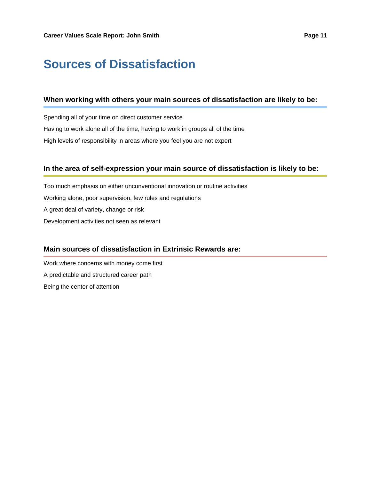# **Sources of Dissatisfaction**

### **When working with others your main sources of dissatisfaction are likely to be:**

Spending all of your time on direct customer service Having to work alone all of the time, having to work in groups all of the time High levels of responsibility in areas where you feel you are not expert

### **In the area of self-expression your main source of dissatisfaction is likely to be:**

Too much emphasis on either unconventional innovation or routine activities Working alone, poor supervision, few rules and regulations A great deal of variety, change or risk Development activities not seen as relevant

### **Main sources of dissatisfaction in Extrinsic Rewards are:**

Work where concerns with money come first A predictable and structured career path Being the center of attention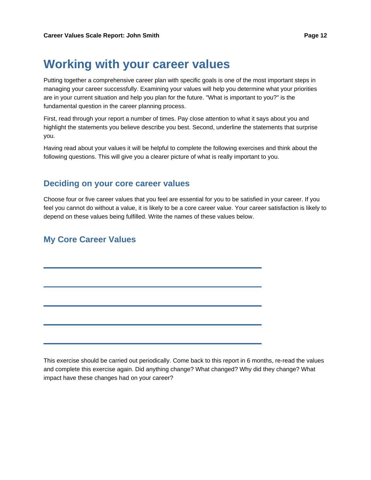### **Working with your career values**

Putting together a comprehensive career plan with specific goals is one of the most important steps in managing your career successfully. Examining your values will help you determine what your priorities are in your current situation and help you plan for the future. "What is important to you?" is the fundamental question in the career planning process.

First, read through your report a number of times. Pay close attention to what it says about you and highlight the statements you believe describe you best. Second, underline the statements that surprise you.

Having read about your values it will be helpful to complete the following exercises and think about the following questions. This will give you a clearer picture of what is really important to you.

### **Deciding on your core career values**

Choose four or five career values that you feel are essential for you to be satisfied in your career. If you feel you cannot do without a value, it is likely to be a core career value. Your career satisfaction is likely to depend on these values being fulfilled. Write the names of these values below.

### **My Core Career Values**

This exercise should be carried out periodically. Come back to this report in 6 months, re-read the values and complete this exercise again. Did anything change? What changed? Why did they change? What impact have these changes had on your career?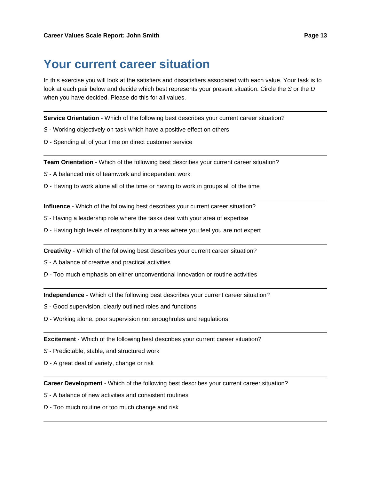### **Your current career situation**

In this exercise you will look at the satisfiers and dissatisfiers associated with each value. Your task is to look at each pair below and decide which best represents your present situation. Circle the S or the D when you have decided. Please do this for all values.

**Service Orientation** - Which of the following best describes your current career situation?

- S Working objectively on task which have a positive effect on others
- D Spending all of your time on direct customer service

**Team Orientation** - Which of the following best describes your current career situation?

S - A balanced mix of teamwork and independent work

D - Having to work alone all of the time or having to work in groups all of the time

**Influence** - Which of the following best describes your current career situation?

- S Having a leadership role where the tasks deal with your area of expertise
- D Having high levels of responsibility in areas where you feel you are not expert

**Creativity** - Which of the following best describes your current career situation?

S - A balance of creative and practical activities

D - Too much emphasis on either unconventional innovation or routine activities

**Independence** - Which of the following best describes your current career situation?

- S Good supervision, clearly outlined roles and functions
- D Working alone, poor supervision not enoughrules and regulations

**Excitement** - Which of the following best describes your current career situation?

- S Predictable, stable, and structured work
- D A great deal of variety, change or risk

**Career Development** - Which of the following best describes your current career situation?

S - A balance of new activities and consistent routines

D - Too much routine or too much change and risk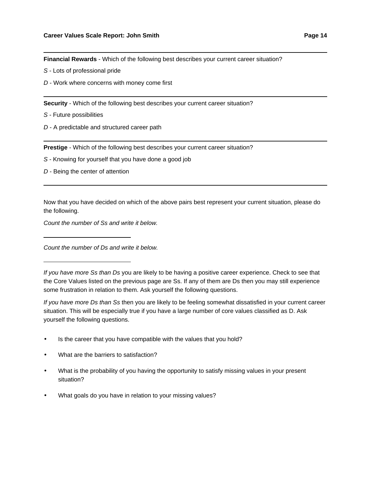**Financial Rewards** - Which of the following best describes your current career situation?

- S Lots of professional pride
- D Work where concerns with money come first

**Security** - Which of the following best describes your current career situation?

- S Future possibilities
- D A predictable and structured career path

**Prestige** - Which of the following best describes your current career situation?

- S Knowing for yourself that you have done a good job
- D Being the center of attention

Now that you have decided on which of the above pairs best represent your current situation, please do the following.

Count the number of Ss and write it below.

Count the number of Ds and write it below.

If you have more Ss than Ds you are likely to be having a positive career experience. Check to see that the Core Values listed on the previous page are Ss. If any of them are Ds then you may still experience some frustration in relation to them. Ask yourself the following questions.

If you have more Ds than Ss then you are likely to be feeling somewhat dissatisfied in your current career situation. This will be especially true if you have a large number of core values classified as D. Ask yourself the following questions.

- Is the career that you have compatible with the values that you hold?
- What are the barriers to satisfaction?
- What is the probability of you having the opportunity to satisfy missing values in your present situation?
- What goals do you have in relation to your missing values?